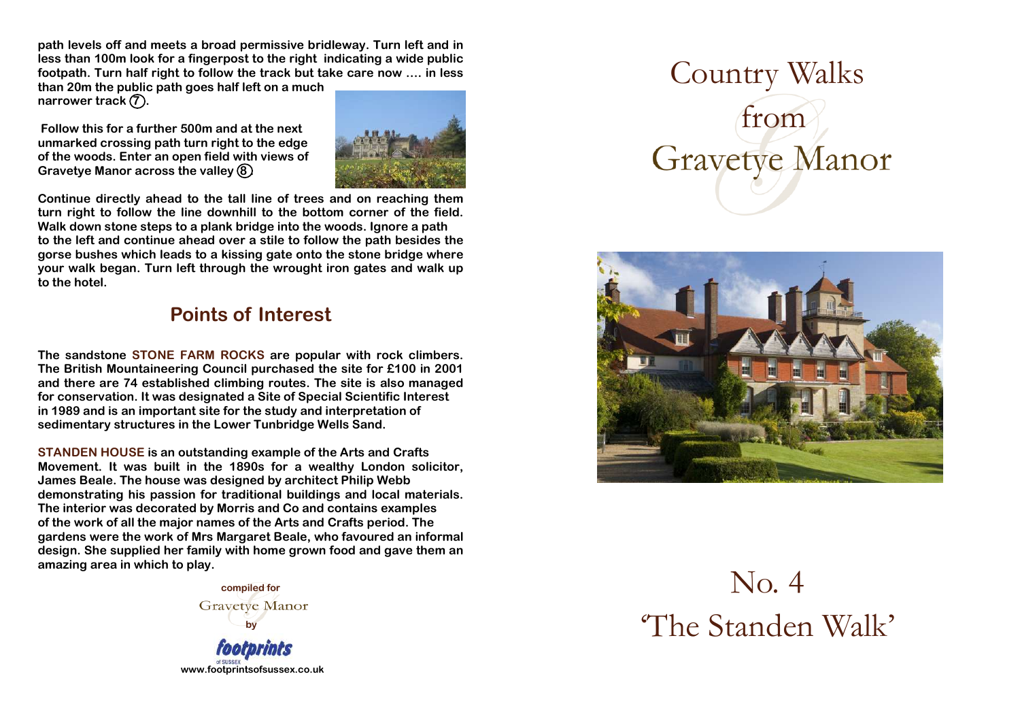**path levels off and meets a broad permissive bridleway. Turn left and in less than 100m look for a fingerpost to the right indicating a wide public footpath. Turn half right to follow the track but take care now …. in less** 

**than 20m the public path goes half left on a much** narrower track  $(7)$ .

 **Follow this for a further 500m and at the next unmarked crossing path turn right to the edge of the woods. Enter an open field with views of** Gravetye Manor across the valley **8** 



**Continue directly ahead to the tall line of trees and on reaching them turn right to follow the line downhill to the bottom corner of the field. Walk down stone steps to a plank bridge into the woods. Ignore a path to the left and continue ahead over a stile to follow the path besides the gorse bushes which leads to a kissing gate onto the stone bridge where your walk began. Turn left through the wrought iron gates and walk up to the hotel.** 

## **Points of Interest**

**The sandstone STONE FARM ROCKS are popular with rock climbers. The British Mountaineering Council purchased the site for £100 in 2001 and there are 74 established climbing routes. The site is also managed for conservation. It was designated a Site of Special Scientific Interest in 1989 and is an important site for the study and interpretation of sedimentary structures in the Lower Tunbridge Wells Sand.** 

**STANDEN HOUSE is an outstanding example of the Arts and Crafts Movement. It was built in the 1890s for a wealthy London solicitor, James Beale. The house was designed by architect Philip Webb demonstrating his passion for traditional buildings and local materials. The interior was decorated by Morris and Co and contains examples of the work of all the major names of the Arts and Crafts period. The gardens were the work of Mrs Margaret Beale, who favoured an informal design. She supplied her family with home grown food and gave them an amazing area in which to play.** 

> **compiled for Gravetye Manor by**

**www.footprintsofsussex.co.uk**

Country Walks from **Gravetye Manor** 



No. 4 'The Standen Walk'